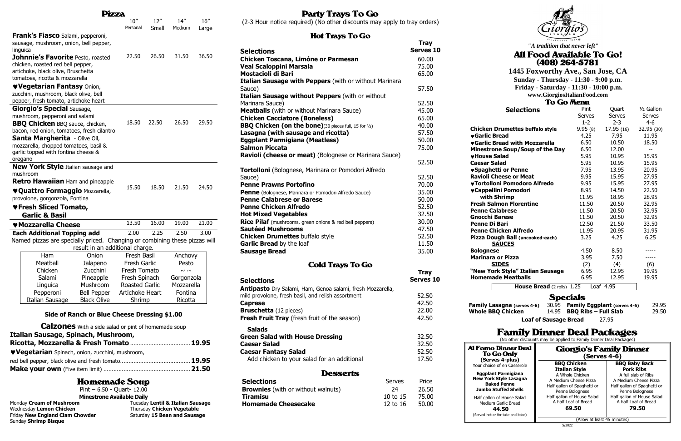|                                                                                                  |                                                                            | Pizza                                                      |                       |       |             |       |
|--------------------------------------------------------------------------------------------------|----------------------------------------------------------------------------|------------------------------------------------------------|-----------------------|-------|-------------|-------|
|                                                                                                  |                                                                            |                                                            | 10''                  | 12"   | 14''        | 16''  |
|                                                                                                  |                                                                            |                                                            | Personal              | Small | Medium      | Large |
|                                                                                                  | <b>Frank's Fiasco</b> Salami, pepperoni,                                   |                                                            |                       |       |             |       |
|                                                                                                  | sausage, mushroom, onion, bell pepper,                                     |                                                            |                       |       |             |       |
|                                                                                                  | linguica                                                                   |                                                            |                       |       |             |       |
|                                                                                                  | <b>Johnnie's Favorite Pesto, roasted</b>                                   |                                                            | 22.50                 | 26.50 | 31.50       | 36.50 |
|                                                                                                  | chicken, roasted red bell pepper,                                          |                                                            |                       |       |             |       |
|                                                                                                  | artichoke, black olive, Bruschetta                                         |                                                            |                       |       |             |       |
|                                                                                                  | tomatoes, ricotta & mozzarella                                             |                                                            |                       |       |             |       |
|                                                                                                  | <b>VVegetarian Fantasy Onion,</b>                                          |                                                            |                       |       |             |       |
|                                                                                                  | zucchini, mushroom, black olive, bell                                      |                                                            |                       |       |             |       |
|                                                                                                  | pepper, fresh tomato, artichoke heart                                      |                                                            |                       |       |             |       |
|                                                                                                  | <b>Giorgio's Special Sausage,</b>                                          |                                                            |                       |       |             |       |
|                                                                                                  | mushroom, pepperoni and salami                                             |                                                            |                       |       |             |       |
|                                                                                                  | <b>BBQ Chicken BBQ sauce, chicken,</b>                                     |                                                            | 18.50                 | 22.50 | 26.50       | 29.50 |
|                                                                                                  | bacon, red onion, tomatoes, fresh cilantro                                 |                                                            |                       |       |             |       |
|                                                                                                  | <b>Santa Margherita</b> - Olive Oil,                                       |                                                            |                       |       |             |       |
|                                                                                                  | mozzarella, chopped tomatoes, basil &                                      |                                                            |                       |       |             |       |
|                                                                                                  | garlic topped with fontina cheese &                                        |                                                            |                       |       |             |       |
|                                                                                                  | oregano                                                                    |                                                            |                       |       |             |       |
|                                                                                                  | <b>New York Style</b> Italian sausage and                                  |                                                            |                       |       |             |       |
|                                                                                                  | mushroom                                                                   |                                                            |                       |       |             |       |
|                                                                                                  | <b>Retro Hawaiian</b> Ham and pineapple                                    |                                                            |                       |       |             |       |
|                                                                                                  | ♥ Quattro Formaggio Mozzarella,                                            |                                                            | 15.50                 | 18.50 | 21.50       | 24.50 |
|                                                                                                  | provolone, gorgonzola, Fontina                                             |                                                            |                       |       |             |       |
|                                                                                                  | ♥Fresh Sliced Tomato,                                                      |                                                            |                       |       |             |       |
|                                                                                                  | <b>Garlic &amp; Basil</b>                                                  |                                                            |                       |       |             |       |
|                                                                                                  |                                                                            |                                                            | 13.50                 | 16.00 | 19.00       | 21.00 |
| <b>W</b> Mozzarella Cheese<br>2.00<br>2.25<br>2.50<br>3.00<br><b>Each Additional Topping add</b> |                                                                            |                                                            |                       |       |             |       |
|                                                                                                  | Named pizzas are specially priced. Changing or combining these pizzas will |                                                            |                       |       |             |       |
|                                                                                                  |                                                                            | result in an additional charge.                            |                       |       |             |       |
|                                                                                                  | Ham                                                                        | Onion                                                      | <b>Fresh Basil</b>    |       | Anchovy     |       |
|                                                                                                  | Meatball                                                                   |                                                            | Fresh Garlic          |       | Pesto       |       |
|                                                                                                  | Chicken                                                                    | Jalapeno<br>Zucchini                                       | Fresh Tomato          |       | $\sim \sim$ |       |
|                                                                                                  | Salami                                                                     | Pineapple                                                  | Fresh Spinach         |       | Gorgonzola  |       |
|                                                                                                  | Linguica                                                                   | Mushroom                                                   | <b>Roasted Garlic</b> |       | Mozzarella  |       |
|                                                                                                  | Pepperoni                                                                  | <b>Bell Pepper</b>                                         | Artichoke Heart       |       | Fontina     |       |
|                                                                                                  | <b>Italian Sausage</b>                                                     | <b>Black Olive</b>                                         |                       |       | Ricotta     |       |
|                                                                                                  |                                                                            |                                                            | Shrimp                |       |             |       |
|                                                                                                  |                                                                            | Side of Ranch or Blue Cheese Dressing \$1.00               |                       |       |             |       |
|                                                                                                  |                                                                            | <b>Calzones</b> With a side salad or pint of homemade soup |                       |       |             |       |
|                                                                                                  | Italian Sausage, Spinach, Mushroom,                                        |                                                            |                       |       |             |       |
|                                                                                                  | Ricotta, Mozzarella & Fresh Tomato  19.95                                  |                                                            |                       |       |             |       |
|                                                                                                  |                                                                            |                                                            |                       |       |             |       |
|                                                                                                  | <b>Vegetarian</b> Spinach, onion, zucchini, mushroom,                      |                                                            |                       |       |             |       |
|                                                                                                  |                                                                            |                                                            |                       |       |             |       |
|                                                                                                  |                                                                            |                                                            |                       |       |             |       |
|                                                                                                  |                                                                            |                                                            |                       |       |             |       |

# **Homemade Soup**

Wednesday Lemon Chicken **Thursday Chicken Vegetable** Friday **New England Clam Chowder** Saturday 15 Bean and Sausage Sunday **Shrimp Bisque**

# **Party Trays To Go**

|                          | Pint $-6.50 -$ Quart- 12.00       |                                  |
|--------------------------|-----------------------------------|----------------------------------|
|                          | <b>Minestrone Available Daily</b> |                                  |
| Monday Cream of Mushroom |                                   | Tuesday Lentil & Italian Sausage |

(2-3 Hour notice required) (No other discounts may apply to tray orders)

#### **Hot Trave To Go**

| not nays to go                                                |               |                                 |
|---------------------------------------------------------------|---------------|---------------------------------|
| <b>Selections</b>                                             |               | <b>Tray</b><br><b>Serves 10</b> |
| <b>Chicken Toscana, Limóne or Parmesan</b>                    |               | 60.00                           |
| Veal Scaloppini Marsala                                       |               | 75.00                           |
| <b>Mostacioli di Bari</b>                                     |               | 65.00                           |
| Italian Sausage with Peppers (with or without Marinara        |               |                                 |
| Sauce)                                                        |               | 57.50                           |
| Italian Sausage without Peppers (with or without              |               |                                 |
| Marinara Sauce)                                               |               | 52.50                           |
| <b>Meatballs</b> (with or without Marinara Sauce)             |               | 45.00                           |
| <b>Chicken Cacciatore (Boneless)</b>                          |               | 65.00                           |
| <b>BBQ Chicken (on the bone)</b> (30 pieces full, 15 for 1/2) |               | 40.00                           |
| Lasagna (with sausage and ricotta)                            |               | 57.50                           |
| <b>Eggplant Parmigiana (Meatless)</b>                         |               | 50.00                           |
| <b>Salmon Piccata</b>                                         |               | 75.00                           |
| Ravioli (cheese or meat) (Bolognese or Marinara Sauce)        |               |                                 |
|                                                               |               | 52.50                           |
| Tortolloni (Bolognese, Marinara or Pomodori Alfredo           |               |                                 |
| Sauce)                                                        |               | 52.50                           |
| <b>Penne Prawns Portofino</b>                                 |               | 70.00                           |
| Penne (Bolognese, Marinara or Pomodori Alfredo Sauce)         |               | 35.00                           |
| <b>Penne Calabrese or Barese</b>                              |               | 50.00                           |
| <b>Penne Chicken Alfredo</b>                                  |               | 52.50                           |
| <b>Hot Mixed Vegetables</b>                                   |               | 32.50                           |
| Rice Pilaf (mushrooms, green onions & red bell peppers)       |               | 30.00                           |
| <b>Sautéed Mushrooms</b>                                      |               | 47.50                           |
| <b>Chicken Drumettes buffalo style</b>                        |               | 52.50                           |
| Garlic Bread by the loaf                                      |               | 11.50                           |
| <b>Sausage Bread</b>                                          |               | 35.00                           |
|                                                               |               |                                 |
| <b>Cold Trays To Go</b>                                       |               |                                 |
|                                                               |               | <b>Tray</b>                     |
| Selections                                                    |               | <b>Serves 10</b>                |
| Antipasto Dry Salami, Ham, Genoa salami, fresh Mozzarella,    |               |                                 |
| mild provolone, fresh basil, and relish assortment            |               | 52.50                           |
| <b>Caprese</b>                                                |               | 42.50                           |
| <b>Bruschetta</b> (12 pieces)                                 |               | 22.00                           |
| <b>Fresh Fruit Tray</b> (fresh fruit of the season)           |               | 42.50                           |
|                                                               |               |                                 |
| <b>Salads</b>                                                 |               |                                 |
| <b>Green Salad with House Dressing</b>                        |               | 32.50                           |
| <b>Caesar Salad</b>                                           |               | 32.50                           |
| <b>Caesar Fantasy Salad</b>                                   |               | 52.50                           |
| Add chicken to your salad for an additional                   |               | 17.50                           |
| <b>Desserts</b>                                               |               |                                 |
| <b>Selections</b>                                             | <b>Serves</b> | Price                           |
| <b>Brownies</b> (with or without walnuts)                     | 24            | 26.50                           |
| <b>Tiramisu</b>                                               | 10 to 15      | 75.00                           |
| <b>Homemade Cheesecake</b>                                    | 12 to 16      | 50.00                           |
|                                                               |               |                                 |



|                                                                    | <b>UU ITELIH</b>            |                                     |              |
|--------------------------------------------------------------------|-----------------------------|-------------------------------------|--------------|
| <b>Selections</b>                                                  | Pint                        | Quart                               | $1/2$ Gallon |
|                                                                    | Serves                      | <b>Serves</b>                       | Serves       |
|                                                                    | $1 - 2$                     | $2 - 3$                             | $4 - 6$      |
| <b>Chicken Drumettes buffalo style</b>                             | 9.95(8)                     | 17.95 (16)                          | 32.95 (30)   |
| <b>vGarlic Bread</b>                                               | 4.25                        | 7.95                                | 11.95        |
| <b>vGarlic Bread with Mozzarella</b>                               | 6.50                        | 10.50                               | 18.50        |
| Minestrone Soup/Soup of the Day                                    | 6.50                        | 12.00                               | --           |
| <b>*House Salad</b>                                                | 5.95                        | 10.95                               | 15.95        |
| <b>Caesar Salad</b>                                                | 5.95                        | 10.95                               | 15.95        |
| ♥Spaghetti or Penne                                                | 7.95                        | 13.95                               | 20.95        |
| <b>Ravioli Cheese or Meat</b>                                      | 9.95                        | 15.95                               | 27.95        |
| ♥Tortolloni Pomodoro Alfredo                                       | 9.95                        | 15.95                               | 27.95        |
| ♥Cappellini Pomodori                                               | 8.95                        | 14.50                               | 22.50        |
| with Shrimp                                                        | 11.95                       | 18.95                               | 28.95        |
| <b>Fresh Salmon Florentine</b>                                     | 11.50                       | 20.50                               | 32.95        |
| <b>Penne Calabrese</b>                                             | 11.50                       | 20.50                               | 32.95        |
| <b>Gnocchi Barese</b>                                              | 11.50                       | 20.50                               | 32.95        |
| Penne Di Bari                                                      | 12.50                       | 21.50                               | 33.50        |
| <b>Penne Chicken Alfredo</b>                                       | 11.95                       | 20.95                               | 31.95        |
| Pizza Dough Ball (uncooked-each)                                   | 3.25                        | 4.25                                | 6.25         |
| <b>SAUCES</b>                                                      |                             |                                     |              |
| <b>Bolognese</b>                                                   | 4.50                        | 8.50                                |              |
| <b>Marinara or Pizza</b>                                           | 3.95                        | 7.50                                | -----        |
| <b>SIDES</b>                                                       | (2)                         | (4)                                 | (6)          |
| "New York Style" Italian Sausage                                   | 6.95                        | 12.95                               | 19.95        |
| <b>Homemade Meatballs</b>                                          | 6.95                        | 12.95                               | 19.95        |
| House Bread (2 rolls) 1.25                                         |                             | Loaf 4.95                           |              |
|                                                                    | <b>Specials</b>             |                                     |              |
|                                                                    |                             |                                     |              |
| 30.95<br><b>Family Lasagna (serves 4-6)</b>                        |                             | <b>Family Eggplant (serves 4-6)</b> | 29.95        |
| <b>Whole BBQ Chicken</b><br>14.95                                  | <b>BBQ Ribs - Full Slab</b> |                                     | 29.50        |
| <b>Loaf of Sausage Bread</b>                                       |                             | 27.95                               |              |
| <b>Family Dinner Deal Packages</b>                                 |                             |                                     |              |
| (No other discounts may be applied to Family Dinner Deal Packages) |                             |                                     |              |

**(Serves 4-plus)** Your choice of en Casserole

**New York Style Lasagna Jumbo Stuffed Shells**





#### **1445 Foxworthy Ave., San Jose, CA Sunday - Thursday - 11:30 - 9:00 p.m. Friday - Saturday - 11:30 - 10:00 p.m.**

**www.GiorgiosItalianFood.com** 

*"A tradition that never left"*

#### All Food Available To Go!  $(408)$  264-5781